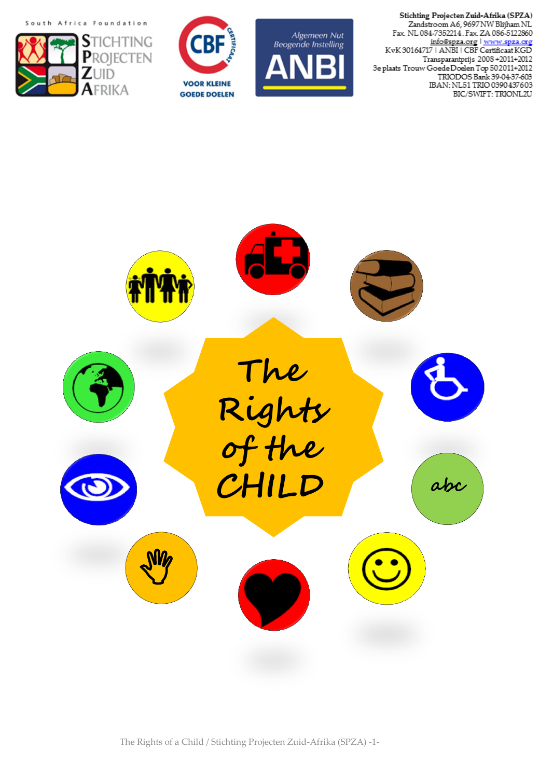South Africa Foundation







Stichting Projecten Zuid-Afrika (SPZA) Zandstroom A6, 9697 NW Blijham NL Fax. NL 084-7352214. Fax. ZA 086-5122860 info@spza.org | www.spza.org<br>KvK30164717 | ANBI | CBF Certificaat KGD Transparantprijs 2008+2011+2012 3e plaats Trouw GoedeDoelen Top 502011+2012 TRIODOS Bank 39-04-37-603 IBAN: NL51 TRIO 0390 437603 BIC/SWIFT: TRIONL2U



The Rights of a Child / Stichting Projecten Zuid-Afrika (SPZA) -1-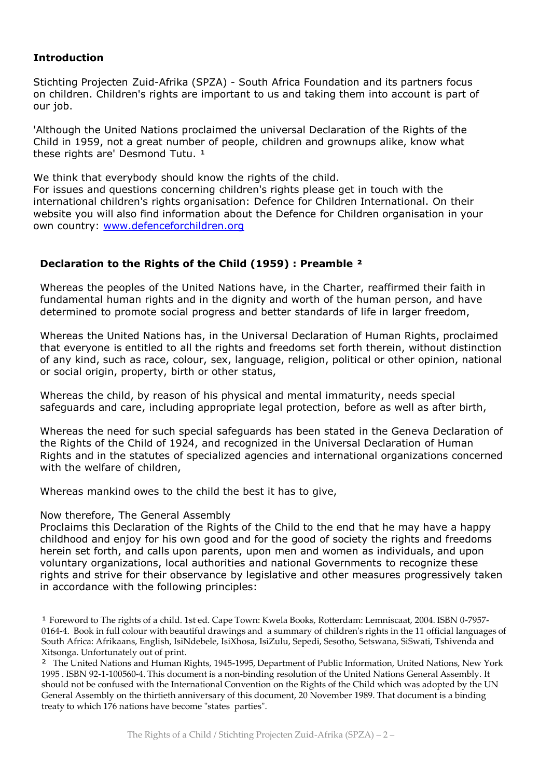## **Introduction**

Stichting Projecten Zuid-Afrika (SPZA) - South Africa Foundation and its partners focus on children. Children's rights are important to us and taking them into account is part of our job.

'Although the United Nations proclaimed the universal Declaration of the Rights of the Child in 1959, not a great number of people, children and grownups alike, know what these rights are' Desmond Tutu.<sup>1</sup>

We think that everybody should know the rights of the child.

For issues and questions concerning children's rights please get in touch with the international children's rights organisation: Defence for Children International. On their website you will also find information about the Defence for Children organisation in your own country: [www.defenceforchildren.org](http://www.defenceforchildren.org/)

## **Declaration to the Rights of the Child (1959) : Preamble ²**

Whereas the peoples of the United Nations have, in the Charter, reaffirmed their faith in fundamental human rights and in the dignity and worth of the human person, and have determined to promote social progress and better standards of life in larger freedom,

Whereas the United Nations has, in the Universal Declaration of Human Rights, proclaimed that everyone is entitled to all the rights and freedoms set forth therein, without distinction of any kind, such as race, colour, sex, language, religion, political or other opinion, national or social origin, property, birth or other status,

Whereas the child, by reason of his physical and mental immaturity, needs special safeguards and care, including appropriate legal protection, before as well as after birth,

Whereas the need for such special safeguards has been stated in the Geneva Declaration of the Rights of the Child of 1924, and recognized in the Universal Declaration of Human Rights and in the statutes of specialized agencies and international organizations concerned with the welfare of children,

Whereas mankind owes to the child the best it has to give,

## Now therefore, The General Assembly

Proclaims this Declaration of the Rights of the Child to the end that he may have a happy childhood and enjoy for his own good and for the good of society the rights and freedoms herein set forth, and calls upon parents, upon men and women as individuals, and upon voluntary organizations, local authorities and national Governments to recognize these rights and strive for their observance by legislative and other measures progressively taken in accordance with the following principles:

<sup>1</sup> Foreword to The rights of a child. 1st ed. Cape Town: Kwela Books, Rotterdam: Lemniscaat, 2004. ISBN 0-7957-0164-4. Book in full colour with beautiful drawings and a summary of children's rights in the 11 official languages of South Africa: Afrikaans, English, IsiNdebele, IsiXhosa, IsiZulu, Sepedi, Sesotho, Setswana, SiSwati, Tshivenda and Xitsonga. Unfortunately out of print.

<sup>2</sup> The United Nations and Human Rights, 1945-1995, Department of Public Information, United Nations, New York 1995 . ISBN 92-1-100560-4. This document is a non-binding resolution of the United Nations General Assembly. It should not be confused with the International Convention on the Rights of the Child which was adopted by the UN General Assembly on the thirtieth anniversary of this document, 20 November 1989. That document is a binding treaty to which 176 nations have become "states parties".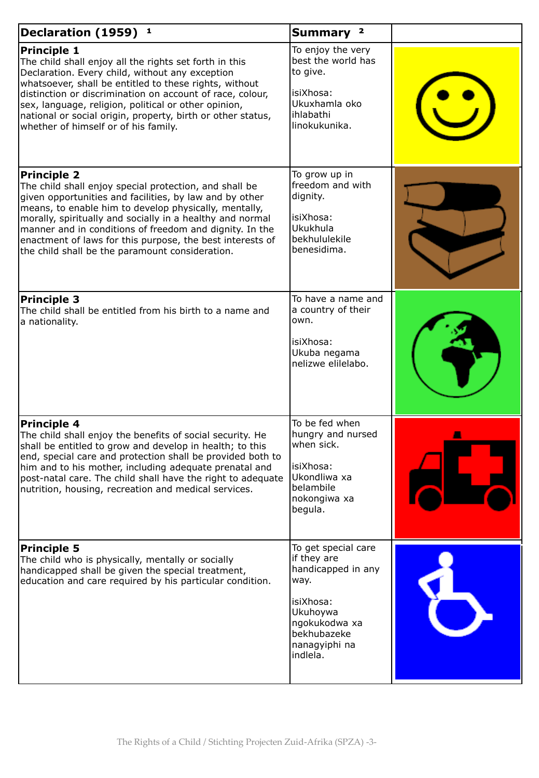| <b>Declaration (1959)</b><br>1                                                                                                                                                                                                                                                                                                                                                                                                           | Summary <sup>2</sup>                                                                                                                                    |  |
|------------------------------------------------------------------------------------------------------------------------------------------------------------------------------------------------------------------------------------------------------------------------------------------------------------------------------------------------------------------------------------------------------------------------------------------|---------------------------------------------------------------------------------------------------------------------------------------------------------|--|
| <b>Principle 1</b><br>The child shall enjoy all the rights set forth in this<br>Declaration. Every child, without any exception<br>whatsoever, shall be entitled to these rights, without<br>distinction or discrimination on account of race, colour,<br>sex, language, religion, political or other opinion,<br>national or social origin, property, birth or other status,<br>whether of himself or of his family.                    | To enjoy the very<br>best the world has<br>to give.<br>lisiXhosa:<br>Ukuxhamla oko<br>lihlabathi<br>linokukunika.                                       |  |
| <b>Principle 2</b><br>The child shall enjoy special protection, and shall be<br>given opportunities and facilities, by law and by other<br>means, to enable him to develop physically, mentally,<br>morally, spiritually and socially in a healthy and normal<br>manner and in conditions of freedom and dignity. In the<br>enactment of laws for this purpose, the best interests of<br>the child shall be the paramount consideration. | To grow up in<br>freedom and with<br>dignity.<br>lisiXhosa:<br>Ukukhula<br>bekhululekile<br>benesidima.                                                 |  |
| <b>Principle 3</b><br>The child shall be entitled from his birth to a name and<br>a nationality.                                                                                                                                                                                                                                                                                                                                         | To have a name and<br>a country of their<br>own.<br>isiXhosa:<br>Ukuba negama<br>nelizwe elilelabo.                                                     |  |
| <b>Principle 4</b><br>The child shall enjoy the benefits of social security. He<br>shall be entitled to grow and develop in health; to this<br>end, special care and protection shall be provided both to<br>him and to his mother, including adequate prenatal and<br>post-natal care. The child shall have the right to adequate<br>nutrition, housing, recreation and medical services.                                               | To be fed when<br>hungry and nursed<br>when sick.<br>lisiXhosa:<br>Ukondliwa xa<br>belambile<br>nokongiwa xa<br>begula.                                 |  |
| <b>Principle 5</b><br>The child who is physically, mentally or socially<br>handicapped shall be given the special treatment,<br>education and care required by his particular condition.                                                                                                                                                                                                                                                 | To get special care<br>if they are<br>handicapped in any<br>way.<br> isiXhosa:<br>Ukuhoywa<br>ngokukodwa xa<br>bekhubazeke<br>nanagyiphi na<br>indlela. |  |